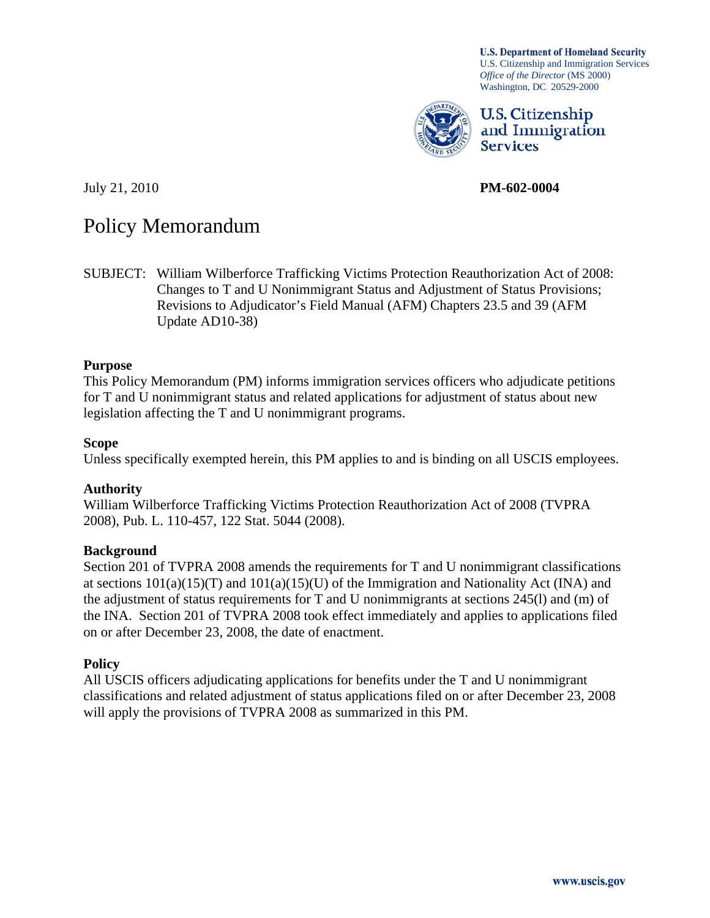**U.S. Department of Homeland Security** U.S. Citizenship and Immigration Services *Office of the Director* (MS 2000) Washington, DC 20529-2000



U.S. Citizenship and Immigration **Services** 

July 21, 2010 **PM-602-0004** 

# Policy Memorandum

SUBJECT: William Wilberforce Trafficking Victims Protection Reauthorization Act of 2008: Changes to T and U Nonimmigrant Status and Adjustment of Status Provisions; Revisions to Adjudicator's Field Manual (AFM) Chapters 23.5 and 39 (AFM Update AD10-38)

#### **Purpose**

This Policy Memorandum (PM) informs immigration services officers who adjudicate petitions for T and U nonimmigrant status and related applications for adjustment of status about new legislation affecting the T and U nonimmigrant programs.

#### **Scope**

Unless specifically exempted herein, this PM applies to and is binding on all USCIS employees.

#### **Authority**

William Wilberforce Trafficking Victims Protection Reauthorization Act of 2008 (TVPRA 2008), Pub. L. 110-457, 122 Stat. 5044 (2008).

#### **Background**

Section 201 of TVPRA 2008 amends the requirements for T and U nonimmigrant classifications at sections  $101(a)(15)(T)$  and  $101(a)(15)(U)$  of the Immigration and Nationality Act (INA) and the adjustment of status requirements for T and U nonimmigrants at sections 245(l) and (m) of the INA. Section 201 of TVPRA 2008 took effect immediately and applies to applications filed on or after December 23, 2008, the date of enactment.

#### **Policy**

All USCIS officers adjudicating applications for benefits under the T and U nonimmigrant classifications and related adjustment of status applications filed on or after December 23, 2008 will apply the provisions of TVPRA 2008 as summarized in this PM.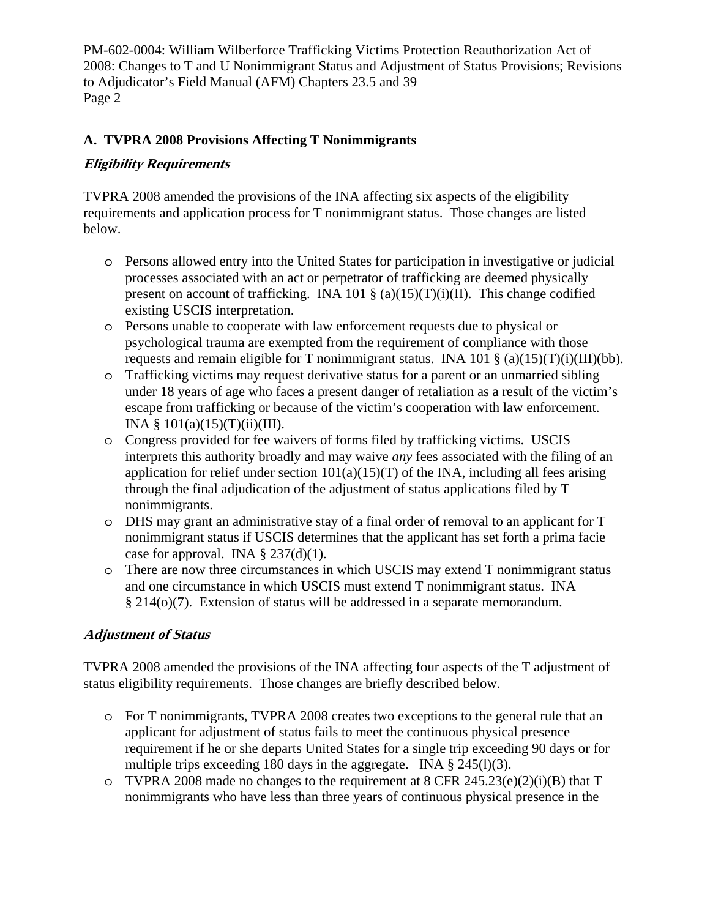## **A. TVPRA 2008 Provisions Affecting T Nonimmigrants**

### **Eligibility Requirements**

TVPRA 2008 amended the provisions of the INA affecting six aspects of the eligibility requirements and application process for T nonimmigrant status. Those changes are listed below.

- o Persons allowed entry into the United States for participation in investigative or judicial processes associated with an act or perpetrator of trafficking are deemed physically present on account of trafficking. INA 101  $\S$  (a)(15)(T)(i)(II). This change codified existing USCIS interpretation.
- o Persons unable to cooperate with law enforcement requests due to physical or psychological trauma are exempted from the requirement of compliance with those requests and remain eligible for T nonimmigrant status. INA 101  $\S$  (a)(15)(T)(i)(III)(bb).
- o Trafficking victims may request derivative status for a parent or an unmarried sibling under 18 years of age who faces a present danger of retaliation as a result of the victim's escape from trafficking or because of the victim's cooperation with law enforcement. INA  $§ 101(a)(15)(T)(ii)(III)$ .
- o Congress provided for fee waivers of forms filed by trafficking victims. USCIS interprets this authority broadly and may waive *any* fees associated with the filing of an application for relief under section  $101(a)(15)(T)$  of the INA, including all fees arising through the final adjudication of the adjustment of status applications filed by T nonimmigrants.
- o DHS may grant an administrative stay of a final order of removal to an applicant for T nonimmigrant status if USCIS determines that the applicant has set forth a prima facie case for approval. INA  $\S$  237(d)(1).
- o There are now three circumstances in which USCIS may extend T nonimmigrant status and one circumstance in which USCIS must extend T nonimmigrant status. INA § 214(o)(7). Extension of status will be addressed in a separate memorandum.

#### **Adjustment of Status**

TVPRA 2008 amended the provisions of the INA affecting four aspects of the T adjustment of status eligibility requirements. Those changes are briefly described below.

- o For T nonimmigrants, TVPRA 2008 creates two exceptions to the general rule that an applicant for adjustment of status fails to meet the continuous physical presence requirement if he or she departs United States for a single trip exceeding 90 days or for multiple trips exceeding 180 days in the aggregate. INA  $\S$  245(l)(3).
- o TVPRA 2008 made no changes to the requirement at  $8$  CFR 245.23(e)(2)(i)(B) that T nonimmigrants who have less than three years of continuous physical presence in the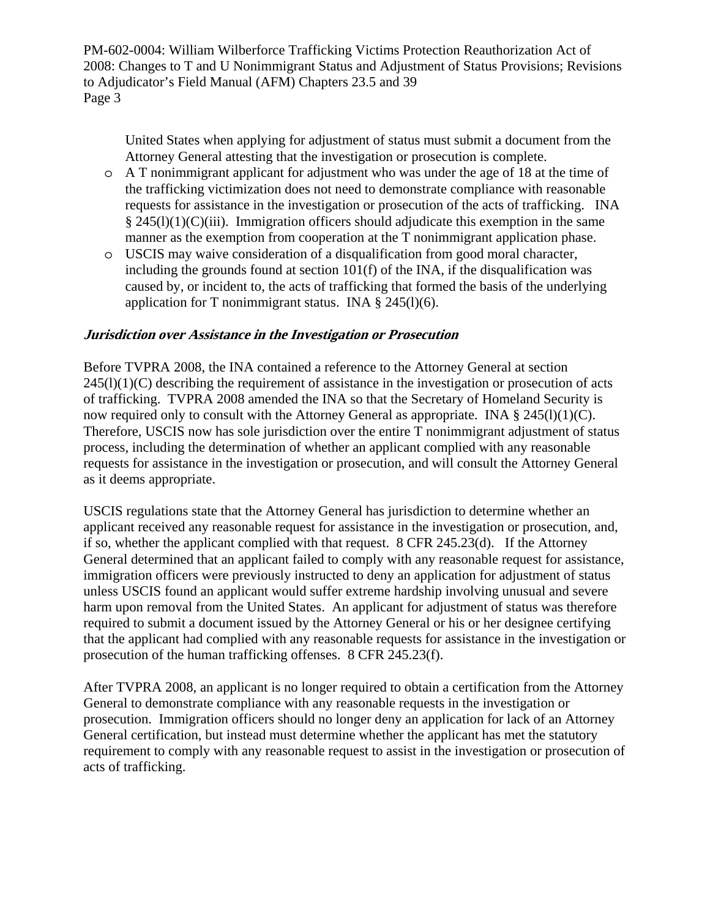United States when applying for adjustment of status must submit a document from the Attorney General attesting that the investigation or prosecution is complete.

- o A T nonimmigrant applicant for adjustment who was under the age of 18 at the time of the trafficking victimization does not need to demonstrate compliance with reasonable requests for assistance in the investigation or prosecution of the acts of trafficking. INA  $§$  245(l)(1)(C)(iii). Immigration officers should adjudicate this exemption in the same manner as the exemption from cooperation at the T nonimmigrant application phase.
- o USCIS may waive consideration of a disqualification from good moral character, including the grounds found at section 101(f) of the INA, if the disqualification was caused by, or incident to, the acts of trafficking that formed the basis of the underlying application for T nonimmigrant status. INA  $\S$  245(1)(6).

#### **Jurisdiction over Assistance in the Investigation or Prosecution**

Before TVPRA 2008, the INA contained a reference to the Attorney General at section  $245(l)(1)(C)$  describing the requirement of assistance in the investigation or prosecution of acts of trafficking. TVPRA 2008 amended the INA so that the Secretary of Homeland Security is now required only to consult with the Attorney General as appropriate. INA  $\S$  245(l)(1)(C). Therefore, USCIS now has sole jurisdiction over the entire T nonimmigrant adjustment of status process, including the determination of whether an applicant complied with any reasonable requests for assistance in the investigation or prosecution, and will consult the Attorney General as it deems appropriate.

USCIS regulations state that the Attorney General has jurisdiction to determine whether an applicant received any reasonable request for assistance in the investigation or prosecution, and, if so, whether the applicant complied with that request. 8 CFR 245.23(d). If the Attorney General determined that an applicant failed to comply with any reasonable request for assistance, immigration officers were previously instructed to deny an application for adjustment of status unless USCIS found an applicant would suffer extreme hardship involving unusual and severe harm upon removal from the United States. An applicant for adjustment of status was therefore required to submit a document issued by the Attorney General or his or her designee certifying that the applicant had complied with any reasonable requests for assistance in the investigation or prosecution of the human trafficking offenses. 8 CFR 245.23(f).

After TVPRA 2008, an applicant is no longer required to obtain a certification from the Attorney General to demonstrate compliance with any reasonable requests in the investigation or prosecution. Immigration officers should no longer deny an application for lack of an Attorney General certification, but instead must determine whether the applicant has met the statutory requirement to comply with any reasonable request to assist in the investigation or prosecution of acts of trafficking.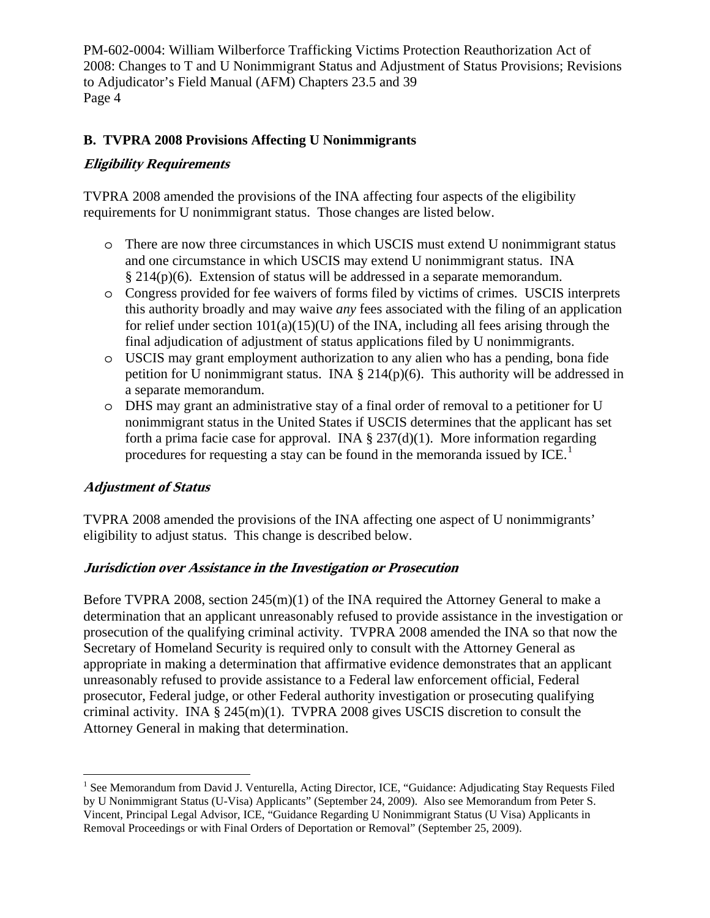## **B. TVPRA 2008 Provisions Affecting U Nonimmigrants**

#### **Eligibility Requirements**

TVPRA 2008 amended the provisions of the INA affecting four aspects of the eligibility requirements for U nonimmigrant status. Those changes are listed below.

- o There are now three circumstances in which USCIS must extend U nonimmigrant status and one circumstance in which USCIS may extend U nonimmigrant status. INA § 214(p)(6). Extension of status will be addressed in a separate memorandum.
- o Congress provided for fee waivers of forms filed by victims of crimes. USCIS interprets this authority broadly and may waive *any* fees associated with the filing of an application for relief under section  $101(a)(15)(U)$  of the INA, including all fees arising through the final adjudication of adjustment of status applications filed by U nonimmigrants.
- o USCIS may grant employment authorization to any alien who has a pending, bona fide petition for U nonimmigrant status. INA  $\S 214(p)(6)$ . This authority will be addressed in a separate memorandum.
- o DHS may grant an administrative stay of a final order of removal to a petitioner for U nonimmigrant status in the United States if USCIS determines that the applicant has set forth a prima facie case for approval. INA  $\S 237(d)(1)$ . More information regarding procedures for requesting a stay can be found in the memoranda issued by ICE.<sup>[1](#page-3-0)</sup>

#### **Adjustment of Status**

 $\overline{a}$ 

TVPRA 2008 amended the provisions of the INA affecting one aspect of U nonimmigrants' eligibility to adjust status. This change is described below.

#### **Jurisdiction over Assistance in the Investigation or Prosecution**

Before TVPRA 2008, section 245(m)(1) of the INA required the Attorney General to make a determination that an applicant unreasonably refused to provide assistance in the investigation or prosecution of the qualifying criminal activity. TVPRA 2008 amended the INA so that now the Secretary of Homeland Security is required only to consult with the Attorney General as appropriate in making a determination that affirmative evidence demonstrates that an applicant unreasonably refused to provide assistance to a Federal law enforcement official, Federal prosecutor, Federal judge, or other Federal authority investigation or prosecuting qualifying criminal activity. INA § 245(m)(1). TVPRA 2008 gives USCIS discretion to consult the Attorney General in making that determination.

<span id="page-3-0"></span><sup>&</sup>lt;sup>1</sup> See Memorandum from David J. Venturella, Acting Director, ICE, "Guidance: Adjudicating Stay Requests Filed by U Nonimmigrant Status (U-Visa) Applicants" (September 24, 2009). Also see Memorandum from Peter S. Vincent, Principal Legal Advisor, ICE, "Guidance Regarding U Nonimmigrant Status (U Visa) Applicants in Removal Proceedings or with Final Orders of Deportation or Removal" (September 25, 2009).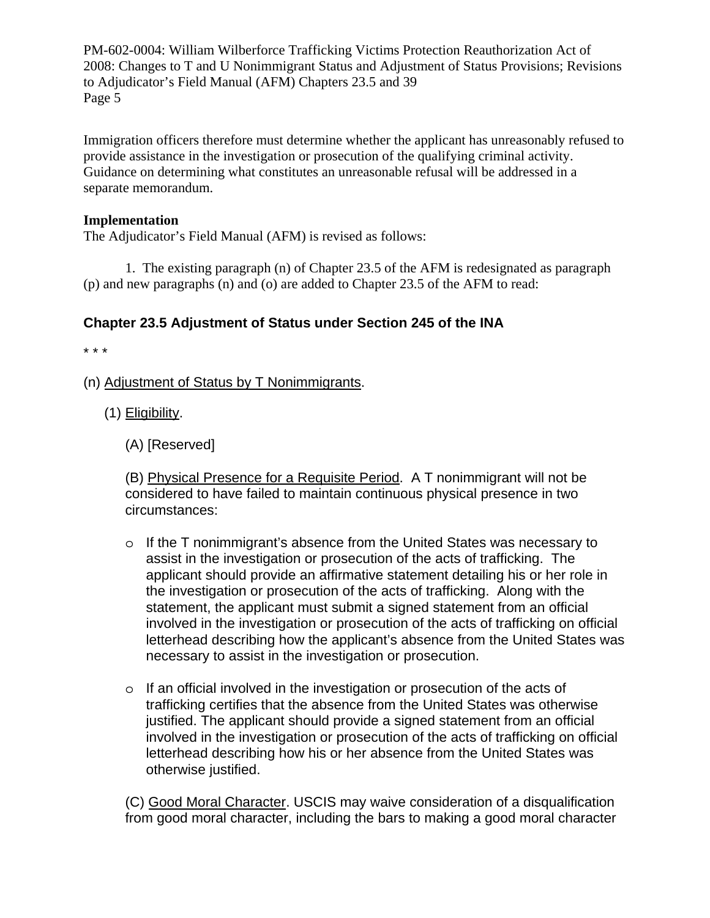Immigration officers therefore must determine whether the applicant has unreasonably refused to provide assistance in the investigation or prosecution of the qualifying criminal activity. Guidance on determining what constitutes an unreasonable refusal will be addressed in a separate memorandum.

#### **Implementation**

The Adjudicator's Field Manual (AFM) is revised as follows:

1. The existing paragraph (n) of Chapter 23.5 of the AFM is redesignated as paragraph (p) and new paragraphs (n) and (o) are added to Chapter 23.5 of the AFM to read:

## **Chapter 23.5 Adjustment of Status under Section 245 of the INA**

\* \* \*

- (n) Adjustment of Status by T Nonimmigrants.
	- (1) Eligibility.
		- (A) [Reserved]

(B) Physical Presence for a Requisite Period. A T nonimmigrant will not be considered to have failed to maintain continuous physical presence in two circumstances:

- o If the T nonimmigrant's absence from the United States was necessary to assist in the investigation or prosecution of the acts of trafficking. The applicant should provide an affirmative statement detailing his or her role in the investigation or prosecution of the acts of trafficking. Along with the statement, the applicant must submit a signed statement from an official involved in the investigation or prosecution of the acts of trafficking on official letterhead describing how the applicant's absence from the United States was necessary to assist in the investigation or prosecution.
- o If an official involved in the investigation or prosecution of the acts of trafficking certifies that the absence from the United States was otherwise justified. The applicant should provide a signed statement from an official involved in the investigation or prosecution of the acts of trafficking on official letterhead describing how his or her absence from the United States was otherwise justified.

(C) Good Moral Character. USCIS may waive consideration of a disqualification from good moral character, including the bars to making a good moral character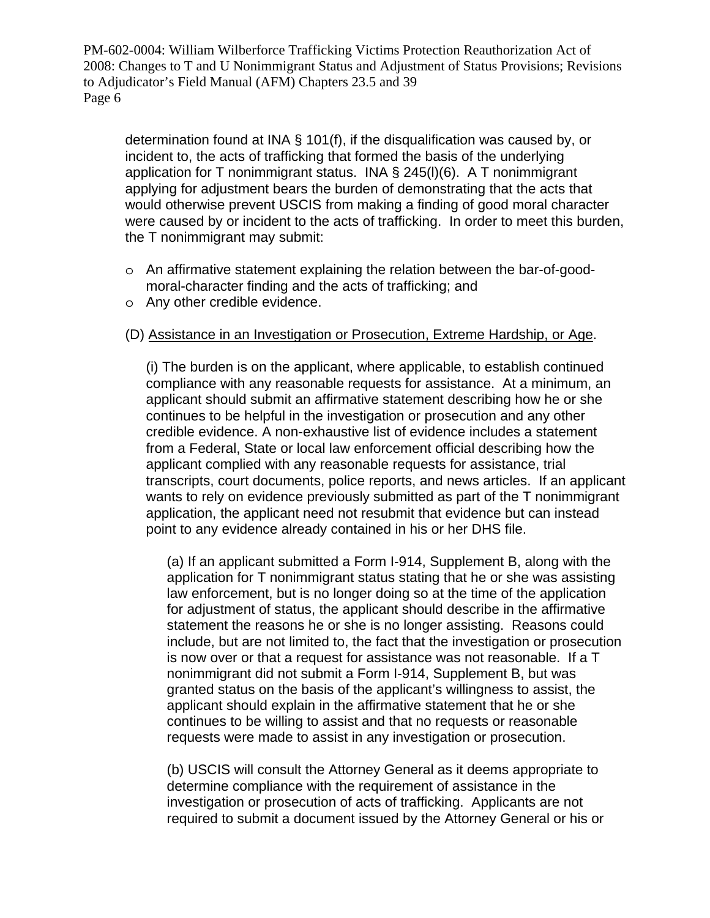determination found at INA § 101(f), if the disqualification was caused by, or incident to, the acts of trafficking that formed the basis of the underlying application for T nonimmigrant status. INA § 245(l)(6). A T nonimmigrant applying for adjustment bears the burden of demonstrating that the acts that would otherwise prevent USCIS from making a finding of good moral character were caused by or incident to the acts of trafficking. In order to meet this burden, the T nonimmigrant may submit:

- o An affirmative statement explaining the relation between the bar-of-goodmoral-character finding and the acts of trafficking; and
- o Any other credible evidence.

## (D) Assistance in an Investigation or Prosecution, Extreme Hardship, or Age.

 (i) The burden is on the applicant, where applicable, to establish continued compliance with any reasonable requests for assistance. At a minimum, an applicant should submit an affirmative statement describing how he or she continues to be helpful in the investigation or prosecution and any other credible evidence. A non-exhaustive list of evidence includes a statement from a Federal, State or local law enforcement official describing how the applicant complied with any reasonable requests for assistance, trial transcripts, court documents, police reports, and news articles. If an applicant wants to rely on evidence previously submitted as part of the T nonimmigrant application, the applicant need not resubmit that evidence but can instead point to any evidence already contained in his or her DHS file.

(a) If an applicant submitted a Form I-914, Supplement B, along with the application for T nonimmigrant status stating that he or she was assisting law enforcement, but is no longer doing so at the time of the application for adjustment of status, the applicant should describe in the affirmative statement the reasons he or she is no longer assisting. Reasons could include, but are not limited to, the fact that the investigation or prosecution is now over or that a request for assistance was not reasonable. If a T nonimmigrant did not submit a Form I-914, Supplement B, but was granted status on the basis of the applicant's willingness to assist, the applicant should explain in the affirmative statement that he or she continues to be willing to assist and that no requests or reasonable requests were made to assist in any investigation or prosecution.

 (b) USCIS will consult the Attorney General as it deems appropriate to determine compliance with the requirement of assistance in the investigation or prosecution of acts of trafficking. Applicants are not required to submit a document issued by the Attorney General or his or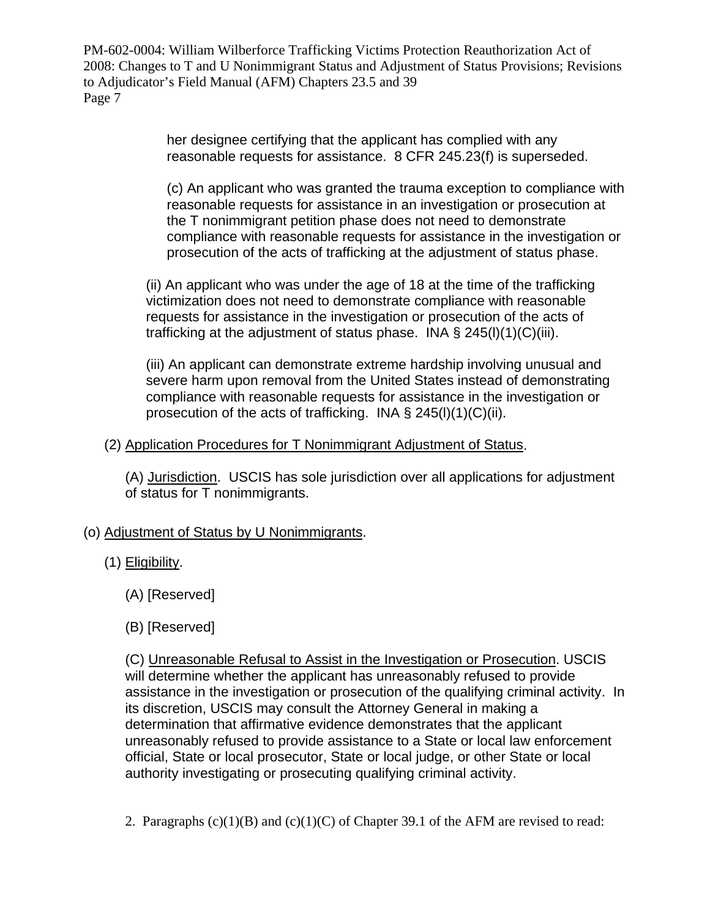> her designee certifying that the applicant has complied with any reasonable requests for assistance. 8 CFR 245.23(f) is superseded.

 (c) An applicant who was granted the trauma exception to compliance with reasonable requests for assistance in an investigation or prosecution at the T nonimmigrant petition phase does not need to demonstrate compliance with reasonable requests for assistance in the investigation or prosecution of the acts of trafficking at the adjustment of status phase.

(ii) An applicant who was under the age of 18 at the time of the trafficking victimization does not need to demonstrate compliance with reasonable requests for assistance in the investigation or prosecution of the acts of trafficking at the adjustment of status phase. INA  $\S$  245(l)(1)(C)(iii).

(iii) An applicant can demonstrate extreme hardship involving unusual and severe harm upon removal from the United States instead of demonstrating compliance with reasonable requests for assistance in the investigation or prosecution of the acts of trafficking. INA § 245(l)(1)(C)(ii).

## (2) Application Procedures for T Nonimmigrant Adjustment of Status.

(A) Jurisdiction. USCIS has sole jurisdiction over all applications for adjustment of status for T nonimmigrants.

# (o) Adjustment of Status by U Nonimmigrants.

# (1) Eligibility.

- (A) [Reserved]
- (B) [Reserved]

(C) Unreasonable Refusal to Assist in the Investigation or Prosecution. USCIS will determine whether the applicant has unreasonably refused to provide assistance in the investigation or prosecution of the qualifying criminal activity. In its discretion, USCIS may consult the Attorney General in making a determination that affirmative evidence demonstrates that the applicant unreasonably refused to provide assistance to a State or local law enforcement official, State or local prosecutor, State or local judge, or other State or local authority investigating or prosecuting qualifying criminal activity.

2. Paragraphs  $(c)(1)(B)$  and  $(c)(1)(C)$  of Chapter 39.1 of the AFM are revised to read: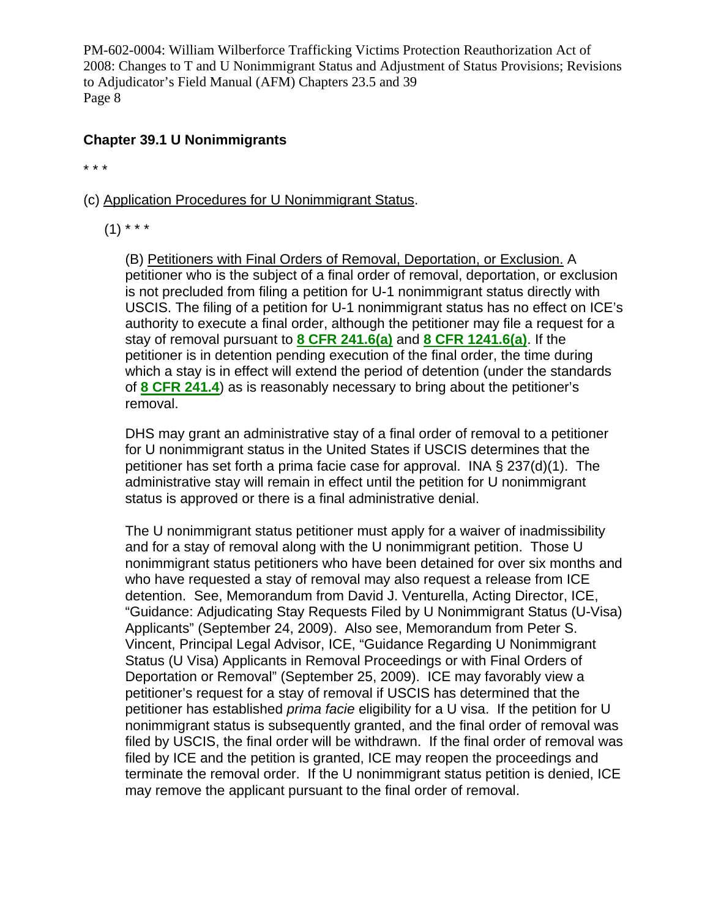### **Chapter 39.1 U Nonimmigrants**

\* \* \*

- (c) Application Procedures for U Nonimmigrant Status.
	- $(1)$  \* \* \*

(B) Petitioners with Final Orders of Removal, Deportation, or Exclusion. A petitioner who is the subject of a final order of removal, deportation, or exclusion is not precluded from filing a petition for U-1 nonimmigrant status directly with USCIS. The filing of a petition for U-1 nonimmigrant status has no effect on ICE's authority to execute a final order, although the petitioner may file a request for a stay of removal pursuant to **[8 CFR 241.6\(a\)](http://onlineplus.uscis.dhs.gov/lpBinplus/lpext.dll/Infobase/slb/slb-1/slb-11243/slb-23536/slb-23817?f=templates&fn=document-frame.htm#slb-8cfrsec2416a)** and **[8 CFR 1241.6\(a\)](http://onlineplus.uscis.dhs.gov/lpBinplus/lpext.dll/Infobase/slb/slb-1/slb-11243/slb-37551/slb-37598?f=templates&fn=document-frame.htm#slb-8cfrsec12416a)**. If the petitioner is in detention pending execution of the final order, the time during which a stay is in effect will extend the period of detention (under the standards of **[8 CFR 241.4](http://onlineplus.uscis.dhs.gov/lpBinplus/lpext.dll/Infobase/slb/slb-1/slb-11243/slb-23536/slb-23624?f=templates&fn=document-frame.htm#slb-8cfrsec2414)**) as is reasonably necessary to bring about the petitioner's removal.

DHS may grant an administrative stay of a final order of removal to a petitioner for U nonimmigrant status in the United States if USCIS determines that the petitioner has set forth a prima facie case for approval. INA § 237(d)(1). The administrative stay will remain in effect until the petition for U nonimmigrant status is approved or there is a final administrative denial.

The U nonimmigrant status petitioner must apply for a waiver of inadmissibility and for a stay of removal along with the U nonimmigrant petition. Those U nonimmigrant status petitioners who have been detained for over six months and who have requested a stay of removal may also request a release from ICE detention. See, Memorandum from David J. Venturella, Acting Director, ICE, "Guidance: Adjudicating Stay Requests Filed by U Nonimmigrant Status (U-Visa) Applicants" (September 24, 2009). Also see, Memorandum from Peter S. Vincent, Principal Legal Advisor, ICE, "Guidance Regarding U Nonimmigrant Status (U Visa) Applicants in Removal Proceedings or with Final Orders of Deportation or Removal" (September 25, 2009). ICE may favorably view a petitioner's request for a stay of removal if USCIS has determined that the petitioner has established *prima facie* eligibility for a U visa. If the petition for U nonimmigrant status is subsequently granted, and the final order of removal was filed by USCIS, the final order will be withdrawn. If the final order of removal was filed by ICE and the petition is granted, ICE may reopen the proceedings and terminate the removal order. If the U nonimmigrant status petition is denied, ICE may remove the applicant pursuant to the final order of removal.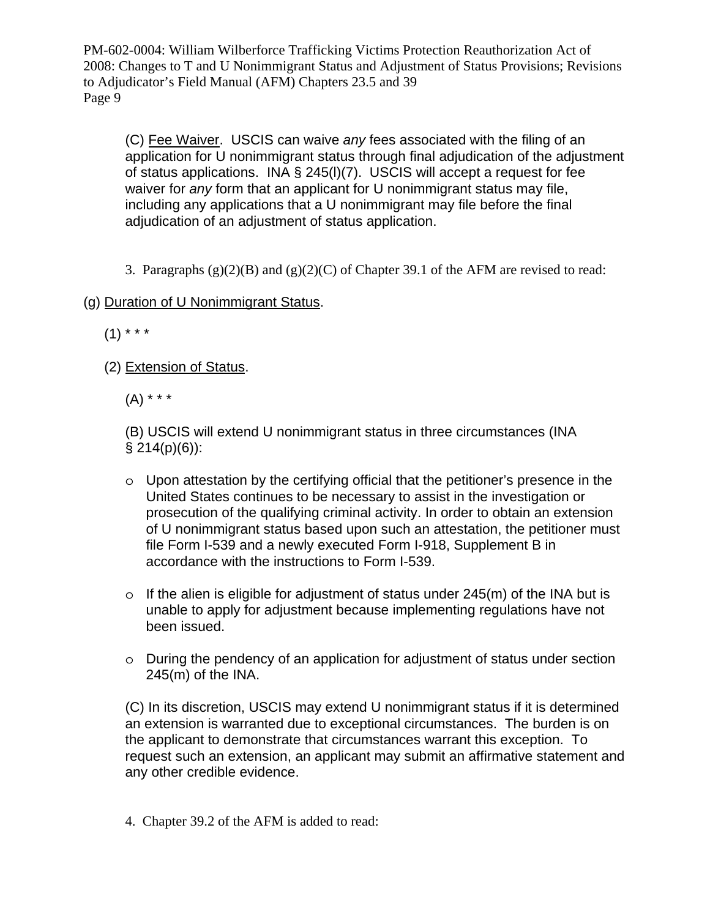(C) Fee Waiver. USCIS can waive *any* fees associated with the filing of an application for U nonimmigrant status through final adjudication of the adjustment of status applications. INA § 245(l)(7). USCIS will accept a request for fee waiver for *any* form that an applicant for U nonimmigrant status may file, including any applications that a U nonimmigrant may file before the final adjudication of an adjustment of status application.

3. Paragraphs  $(g)(2)(B)$  and  $(g)(2)(C)$  of Chapter 39.1 of the AFM are revised to read:

# (g) Duration of U Nonimmigrant Status.

 $(1)$  \* \* \*

(2) Extension of Status.

 $(A)$  \* \* \*

(B) USCIS will extend U nonimmigrant status in three circumstances (INA  $§$  214(p)(6)):

- o Upon attestation by the certifying official that the petitioner's presence in the United States continues to be necessary to assist in the investigation or prosecution of the qualifying criminal activity. In order to obtain an extension of U nonimmigrant status based upon such an attestation, the petitioner must file Form I-539 and a newly executed Form I-918, Supplement B in accordance with the instructions to Form I-539.
- $\circ$  If the alien is eligible for adjustment of status under 245(m) of the INA but is unable to apply for adjustment because implementing regulations have not been issued.
- o During the pendency of an application for adjustment of status under section 245(m) of the INA.

(C) In its discretion, USCIS may extend U nonimmigrant status if it is determined an extension is warranted due to exceptional circumstances. The burden is on the applicant to demonstrate that circumstances warrant this exception. To request such an extension, an applicant may submit an affirmative statement and any other credible evidence.

4. Chapter 39.2 of the AFM is added to read: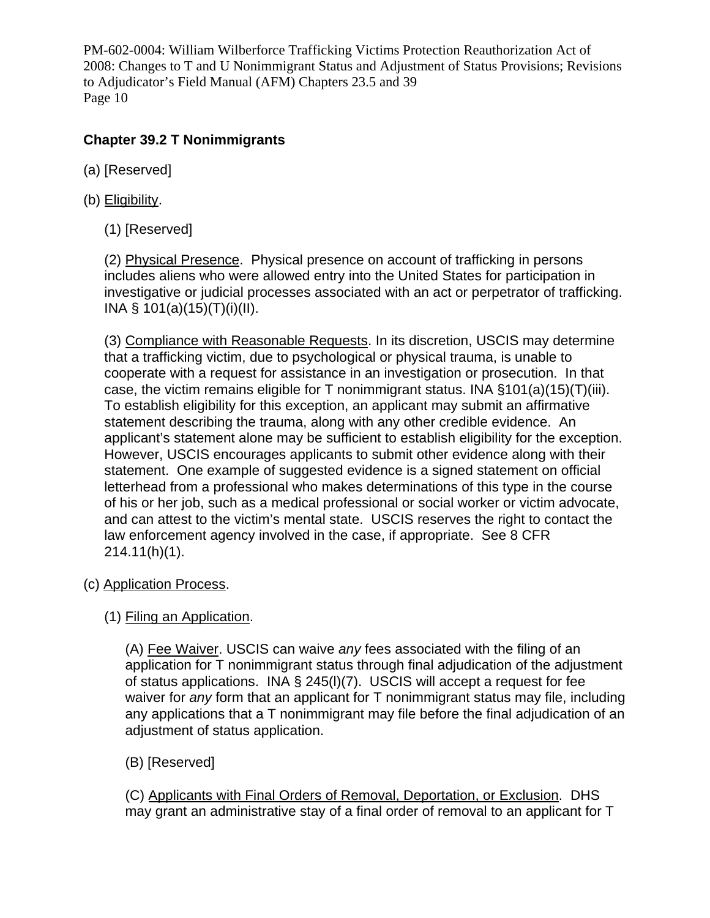# **Chapter 39.2 T Nonimmigrants**

- (a) [Reserved]
- (b) Eligibility.
	- (1) [Reserved]

(2) Physical Presence. Physical presence on account of trafficking in persons includes aliens who were allowed entry into the United States for participation in investigative or judicial processes associated with an act or perpetrator of trafficking. INA § 101(a)(15)(T)(i)(II).

(3) Compliance with Reasonable Requests. In its discretion, USCIS may determine that a trafficking victim, due to psychological or physical trauma, is unable to cooperate with a request for assistance in an investigation or prosecution. In that case, the victim remains eligible for T nonimmigrant status. INA  $\S$ 101(a)(15)(T)(iii). To establish eligibility for this exception, an applicant may submit an affirmative statement describing the trauma, along with any other credible evidence. An applicant's statement alone may be sufficient to establish eligibility for the exception. However, USCIS encourages applicants to submit other evidence along with their statement. One example of suggested evidence is a signed statement on official letterhead from a professional who makes determinations of this type in the course of his or her job, such as a medical professional or social worker or victim advocate, and can attest to the victim's mental state. USCIS reserves the right to contact the law enforcement agency involved in the case, if appropriate. See 8 CFR 214.11(h)(1).

- (c) Application Process.
	- (1) Filing an Application.

(A) Fee Waiver. USCIS can waive *any* fees associated with the filing of an application for T nonimmigrant status through final adjudication of the adjustment of status applications. INA § 245(l)(7). USCIS will accept a request for fee waiver for *any* form that an applicant for T nonimmigrant status may file, including any applications that a T nonimmigrant may file before the final adjudication of an adjustment of status application.

(B) [Reserved]

(C) Applicants with Final Orders of Removal, Deportation, or Exclusion. DHS may grant an administrative stay of a final order of removal to an applicant for T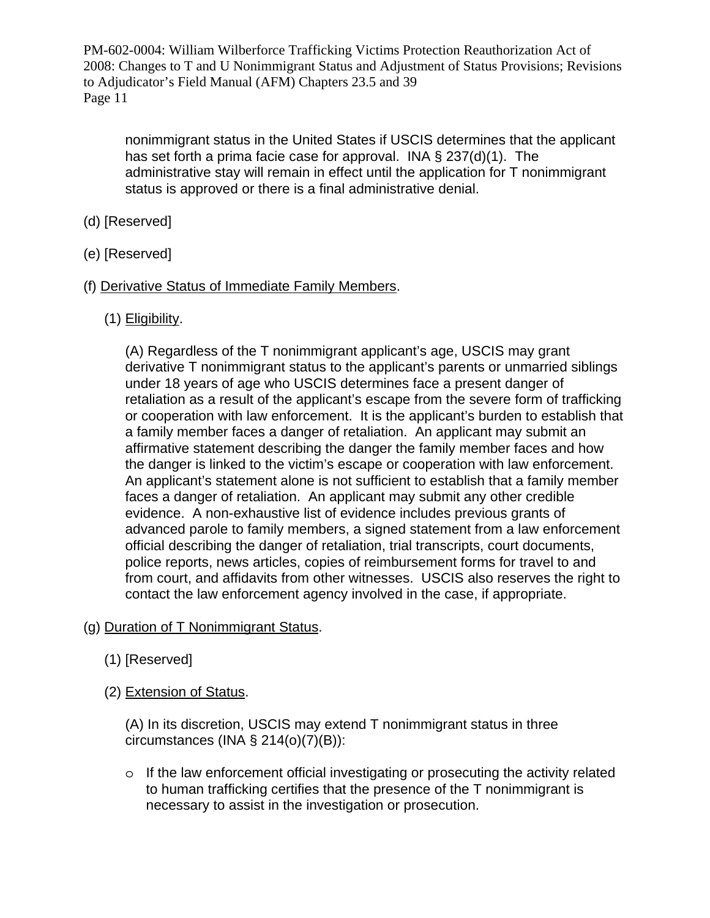nonimmigrant status in the United States if USCIS determines that the applicant has set forth a prima facie case for approval. INA § 237(d)(1). The administrative stay will remain in effect until the application for T nonimmigrant status is approved or there is a final administrative denial.

- (d) [Reserved]
- (e) [Reserved]
- (f) Derivative Status of Immediate Family Members.
	- (1) Eligibility.

(A) Regardless of the T nonimmigrant applicant's age, USCIS may grant derivative T nonimmigrant status to the applicant's parents or unmarried siblings under 18 years of age who USCIS determines face a present danger of retaliation as a result of the applicant's escape from the severe form of trafficking or cooperation with law enforcement. It is the applicant's burden to establish that a family member faces a danger of retaliation. An applicant may submit an affirmative statement describing the danger the family member faces and how the danger is linked to the victim's escape or cooperation with law enforcement. An applicant's statement alone is not sufficient to establish that a family member faces a danger of retaliation. An applicant may submit any other credible evidence. A non-exhaustive list of evidence includes previous grants of advanced parole to family members, a signed statement from a law enforcement official describing the danger of retaliation, trial transcripts, court documents, police reports, news articles, copies of reimbursement forms for travel to and from court, and affidavits from other witnesses. USCIS also reserves the right to contact the law enforcement agency involved in the case, if appropriate.

- (g) Duration of T Nonimmigrant Status.
	- (1) [Reserved]
	- (2) Extension of Status.

(A) In its discretion, USCIS may extend T nonimmigrant status in three circumstances (INA  $\S$  214(o)(7)(B)):

 $\circ$  If the law enforcement official investigating or prosecuting the activity related to human trafficking certifies that the presence of the T nonimmigrant is necessary to assist in the investigation or prosecution.